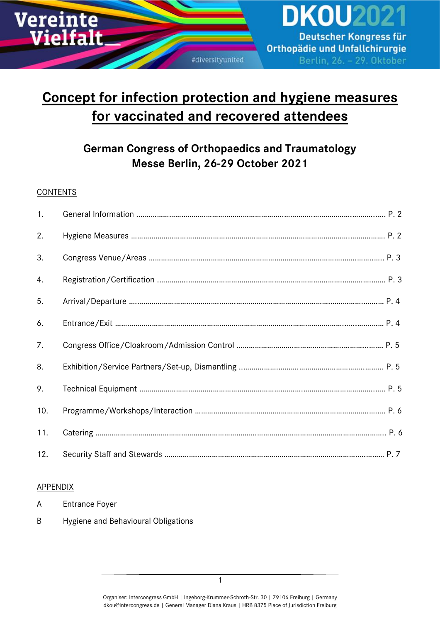DKOU20 Deutscher Kongress für Orthopädie und Unfallchirurgie Berlin, 26. - 29. Oktober

## **Concept for infection protection and hygiene measures for vaccinated and recovered attendees**

#### **German Congress of Orthopaedics and Traumatology Messe Berlin, 26-29 October 2021**

#### CONTENTS

**Vereinte** 

**Vielfalt** 

| 1.  |  |
|-----|--|
| 2.  |  |
| 3.  |  |
| 4.  |  |
| 5.  |  |
| 6.  |  |
| 7.  |  |
| 8.  |  |
| 9.  |  |
| 10. |  |
| 11. |  |
| 12. |  |

#### APPENDIX

- A Entrance Foyer
- B Hygiene and Behavioural Obligations

1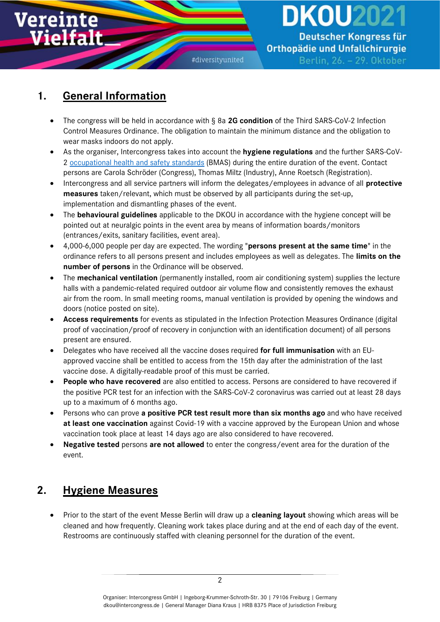## **DKOU202 Deutscher Kongress für** Orthopädie und Unfallchirurgie Berlin, 26. - 29. Oktober

#### **1. General Information**

**Vereinte** 

Vielfalt

- The congress will be held in accordance with § 8a **2G condition** of the Third SARS-CoV-2 Infection Control Measures Ordinance. The obligation to maintain the minimum distance and the obligation to wear masks indoors do not apply.
- As the organiser, Intercongress takes into account the **hygiene regulations** and the further SARS-CoV-2 [occupational health and safety standards](https://www.bmas.de/DE/Service/Gesetze-und-Gesetzesvorhaben/sars-cov-2-arbeitsschutzverordnung.html) (BMAS) during the entire duration of the event. Contact persons are Carola Schröder (Congress), Thomas Miltz (Industry), Anne Roetsch (Registration).
- Intercongress and all service partners will inform the delegates/employees in advance of all **protective measures** taken/relevant, which must be observed by all participants during the set-up, implementation and dismantling phases of the event.
- The **behavioural guidelines** applicable to the DKOU in accordance with the hygiene concept will be pointed out at neuralgic points in the event area by means of information boards/monitors (entrances/exits, sanitary facilities, event area).
- 4,000-6,000 people per day are expected. The wording "**persons present at the same time**" in the ordinance refers to all persons present and includes employees as well as delegates. The **limits on the number of persons** in the Ordinance will be observed.
- The **mechanical ventilation** (permanently installed, room air conditioning system) supplies the lecture halls with a pandemic-related required outdoor air volume flow and consistently removes the exhaust air from the room. In small meeting rooms, manual ventilation is provided by opening the windows and doors (notice posted on site).
- **Access requirements** for events as stipulated in the Infection Protection Measures Ordinance (digital proof of vaccination/proof of recovery in conjunction with an identification document) of all persons present are ensured.
- Delegates who have received all the vaccine doses required **for full immunisation** with an EUapproved vaccine shall be entitled to access from the 15th day after the administration of the last vaccine dose. A digitally-readable proof of this must be carried.
- **People who have recovered** are also entitled to access. Persons are considered to have recovered if the positive PCR test for an infection with the SARS-CoV-2 coronavirus was carried out at least 28 days up to a maximum of 6 months ago.
- Persons who can prove **a positive PCR test result more than six months ago** and who have received **at least one vaccination** against Covid-19 with a vaccine approved by the European Union and whose vaccination took place at least 14 days ago are also considered to have recovered.
- **Negative tested** persons **are not allowed** to enter the congress/event area for the duration of the event.

#### **2. Hygiene Measures**

 Prior to the start of the event Messe Berlin will draw up a **cleaning layout** showing which areas will be cleaned and how frequently. Cleaning work takes place during and at the end of each day of the event. Restrooms are continuously staffed with cleaning personnel for the duration of the event.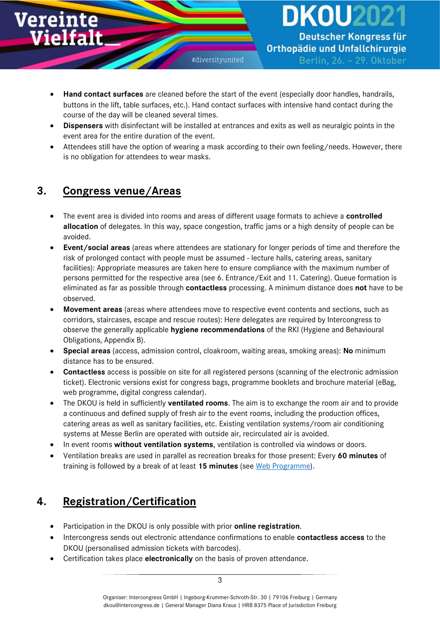- DKOU20 **Deutscher Kongress für** Orthopädie und Unfallchirurgie Berlin, 26. - 29. Oktober
- **Hand contact surfaces** are cleaned before the start of the event (especially door handles, handrails, buttons in the lift, table surfaces, etc.). Hand contact surfaces with intensive hand contact during the course of the day will be cleaned several times.
- **Dispensers** with disinfectant will be installed at entrances and exits as well as neuralgic points in the event area for the entire duration of the event.
- Attendees still have the option of wearing a mask according to their own feeling/needs. However, there is no obligation for attendees to wear masks.

#### **3. Congress venue/Areas**

Vereinte

Vielfalt

- The event area is divided into rooms and areas of different usage formats to achieve a **controlled allocation** of delegates. In this way, space congestion, traffic jams or a high density of people can be avoided.
- **Event/social areas** (areas where attendees are stationary for longer periods of time and therefore the risk of prolonged contact with people must be assumed - lecture halls, catering areas, sanitary facilities): Appropriate measures are taken here to ensure compliance with the maximum number of persons permitted for the respective area (see 6. Entrance/Exit and 11. Catering). Queue formation is eliminated as far as possible through **contactless** processing. A minimum distance does **not** have to be observed.
- **Movement areas** (areas where attendees move to respective event contents and sections, such as corridors, staircases, escape and rescue routes): Here delegates are required by Intercongress to observe the generally applicable **hygiene recommendations** of the RKI (Hygiene and Behavioural Obligations, Appendix B).
- **Special areas** (access, admission control, cloakroom, waiting areas, smoking areas): **No** minimum distance has to be ensured.
- **Contactless** access is possible on site for all registered persons (scanning of the electronic admission ticket). Electronic versions exist for congress bags, programme booklets and brochure material (eBag, web programme, digital congress calendar).
- The DKOU is held in sufficiently **ventilated rooms**. The aim is to exchange the room air and to provide a continuous and defined supply of fresh air to the event rooms, including the production offices, catering areas as well as sanitary facilities, etc. Existing ventilation systems/room air conditioning systems at Messe Berlin are operated with outside air, recirculated air is avoided.
- In event rooms **without ventilation systems**, ventilation is controlled via windows or doors.
- Ventilation breaks are used in parallel as recreation breaks for those present: Every **60 minutes** of training is followed by a break of at least **15 minutes** (see [Web Programme\)](http://sepla.intercongress.de/Intercongress/2101/TIMETABLE/DKOU21).

### **4. Registration/Certification**

- Participation in the DKOU is only possible with prior **online registration**.
- Intercongress sends out electronic attendance confirmations to enable **contactless access** to the DKOU (personalised admission tickets with barcodes).
- Certification takes place **electronically** on the basis of proven attendance.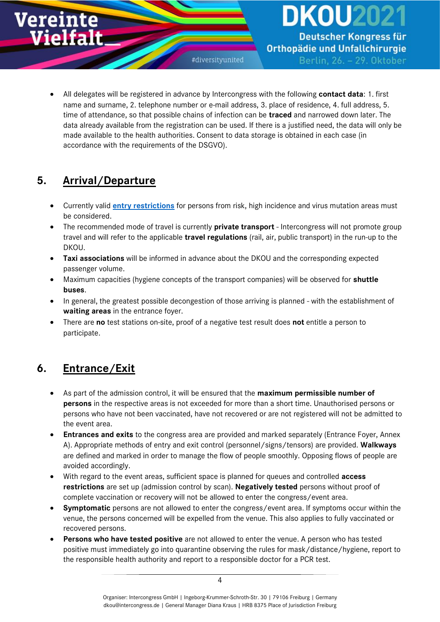

 All delegates will be registered in advance by Intercongress with the following **contact data**: 1. first name and surname, 2. telephone number or e-mail address, 3. place of residence, 4. full address, 5. time of attendance, so that possible chains of infection can be **traced** and narrowed down later. The data already available from the registration can be used. If there is a justified need, the data will only be made available to the health authorities. Consent to data storage is obtained in each case (in accordance with the requirements of the DSGVO).

#### **5. Arrival/Departure**

Vereinte

Vielfalt

- Currently valid **[entry restrictions](https://www.auswaertiges-amt.de/de/quarantaene-einreise/2371468)** for persons from risk, high incidence and virus mutation areas must be considered.
- The recommended mode of travel is currently **private transport** Intercongress will not promote group travel and will refer to the applicable **travel regulations** (rail, air, public transport) in the run-up to the DKOU.
- **Taxi associations** will be informed in advance about the DKOU and the corresponding expected passenger volume.
- Maximum capacities (hygiene concepts of the transport companies) will be observed for **shuttle buses**.
- In general, the greatest possible decongestion of those arriving is planned with the establishment of **waiting areas** in the entrance foyer.
- There are **no** test stations on-site, proof of a negative test result does **not** entitle a person to participate.

### **6. Entrance/Exit**

- As part of the admission control, it will be ensured that the **maximum permissible number of persons** in the respective areas is not exceeded for more than a short time. Unauthorised persons or persons who have not been vaccinated, have not recovered or are not registered will not be admitted to the event area.
- **Entrances and exits** to the congress area are provided and marked separately (Entrance Foyer, Annex A). Appropriate methods of entry and exit control (personnel/signs/tensors) are provided. **Walkways** are defined and marked in order to manage the flow of people smoothly. Opposing flows of people are avoided accordingly.
- With regard to the event areas, sufficient space is planned for queues and controlled **access restrictions** are set up (admission control by scan). **Negatively tested** persons without proof of complete vaccination or recovery will not be allowed to enter the congress/event area.
- **Symptomatic** persons are not allowed to enter the congress/event area. If symptoms occur within the venue, the persons concerned will be expelled from the venue. This also applies to fully vaccinated or recovered persons.
- **Persons who have tested positive** are not allowed to enter the venue. A person who has tested positive must immediately go into quarantine observing the rules for mask/distance/hygiene, report to the responsible health authority and report to a responsible doctor for a PCR test.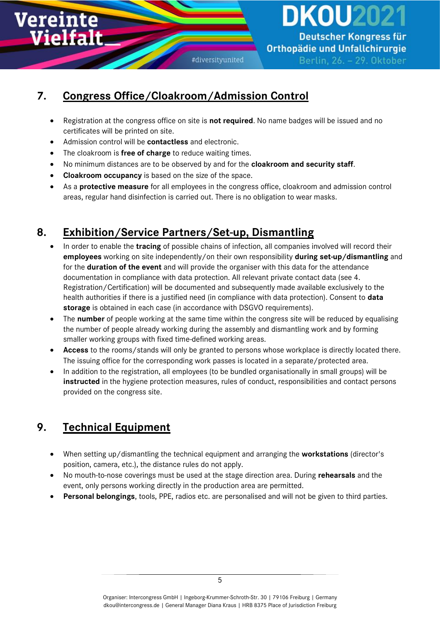DKOU20 **Deutscher Kongress für** Orthopädie und Unfallchirurgie Berlin, 26. - 29. Oktober

#### **7. Congress Office/Cloakroom/Admission Control**

- Registration at the congress office on site is **not required**. No name badges will be issued and no certificates will be printed on site.
- Admission control will be **contactless** and electronic.

Vereinte

- The cloakroom is **free of charge** to reduce waiting times.
- No minimum distances are to be observed by and for the **cloakroom and security staff**.
- **Cloakroom occupancy** is based on the size of the space.
- As a **protective measure** for all employees in the congress office, cloakroom and admission control areas, regular hand disinfection is carried out. There is no obligation to wear masks.

### **8. Exhibition/Service Partners/Set-up, Dismantling**

- In order to enable the **tracing** of possible chains of infection, all companies involved will record their **employees** working on site independently/on their own responsibility **during set-up/dismantling** and for the **duration of the event** and will provide the organiser with this data for the attendance documentation in compliance with data protection. All relevant private contact data (see 4. Registration/Certification) will be documented and subsequently made available exclusively to the health authorities if there is a justified need (in compliance with data protection). Consent to **data storage** is obtained in each case (in accordance with DSGVO requirements).
- The **number** of people working at the same time within the congress site will be reduced by equalising the number of people already working during the assembly and dismantling work and by forming smaller working groups with fixed time-defined working areas.
- **Access** to the rooms/stands will only be granted to persons whose workplace is directly located there. The issuing office for the corresponding work passes is located in a separate/protected area.
- In addition to the registration, all employees (to be bundled organisationally in small groups) will be **instructed** in the hygiene protection measures, rules of conduct, responsibilities and contact persons provided on the congress site.

### **9. Technical Equipment**

- When setting up/dismantling the technical equipment and arranging the **workstations** (director's position, camera, etc.), the distance rules do not apply.
- No mouth-to-nose coverings must be used at the stage direction area. During **rehearsals** and the event, only persons working directly in the production area are permitted.
- **Personal belongings**, tools, PPE, radios etc. are personalised and will not be given to third parties.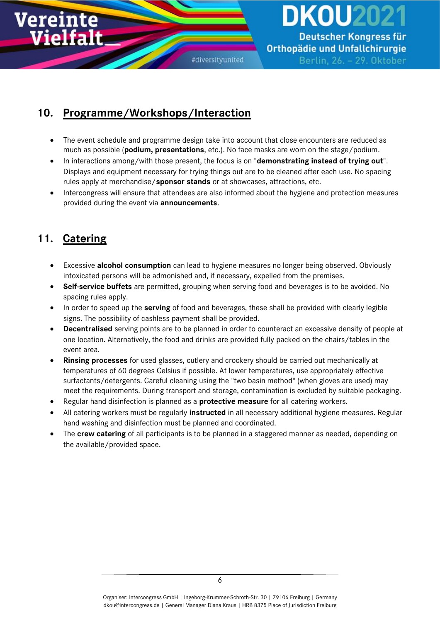Vereinte Vielfalt

#diversityunited

### DKOU20 **Deutscher Kongress für** Orthopädie und Unfallchirurgie Berlin, 26. - 29. Oktober

#### **10. Programme/Workshops/Interaction**

- The event schedule and programme design take into account that close encounters are reduced as much as possible (**podium, presentations**, etc.). No face masks are worn on the stage/podium.
- In interactions among/with those present, the focus is on "**demonstrating instead of trying out**". Displays and equipment necessary for trying things out are to be cleaned after each use. No spacing rules apply at merchandise/**sponsor stands** or at showcases, attractions, etc.
- Intercongress will ensure that attendees are also informed about the hygiene and protection measures provided during the event via **announcements**.

#### **11. Catering**

- Excessive **alcohol consumption** can lead to hygiene measures no longer being observed. Obviously intoxicated persons will be admonished and, if necessary, expelled from the premises.
- **Self-service buffets** are permitted, grouping when serving food and beverages is to be avoided. No spacing rules apply.
- In order to speed up the **serving** of food and beverages, these shall be provided with clearly legible signs. The possibility of cashless payment shall be provided.
- **Decentralised** serving points are to be planned in order to counteract an excessive density of people at one location. Alternatively, the food and drinks are provided fully packed on the chairs/tables in the event area.
- **Rinsing processes** for used glasses, cutlery and crockery should be carried out mechanically at temperatures of 60 degrees Celsius if possible. At lower temperatures, use appropriately effective surfactants/detergents. Careful cleaning using the "two basin method" (when gloves are used) may meet the requirements. During transport and storage, contamination is excluded by suitable packaging.
- Regular hand disinfection is planned as a **protective measure** for all catering workers.
- All catering workers must be regularly **instructed** in all necessary additional hygiene measures. Regular hand washing and disinfection must be planned and coordinated.
- The **crew catering** of all participants is to be planned in a staggered manner as needed, depending on the available/provided space.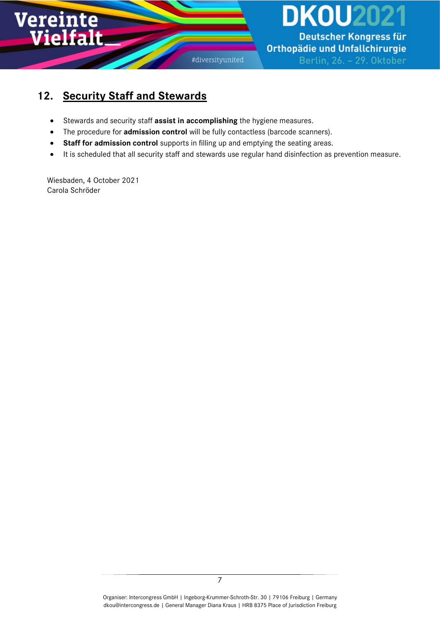Vereinte **Vielfalt** 

# **DKOU202** Deutscher Kongress für

#diversityunited

Orthopädie und Unfallchirurgie Berlin, 26. - 29. Oktober

#### **12. Security Staff and Stewards**

- Stewards and security staff **assist in accomplishing** the hygiene measures.
- The procedure for **admission control** will be fully contactless (barcode scanners).
- **Staff for admission control** supports in filling up and emptying the seating areas.
- It is scheduled that all security staff and stewards use regular hand disinfection as prevention measure.

Wiesbaden, 4 October 2021 Carola Schröder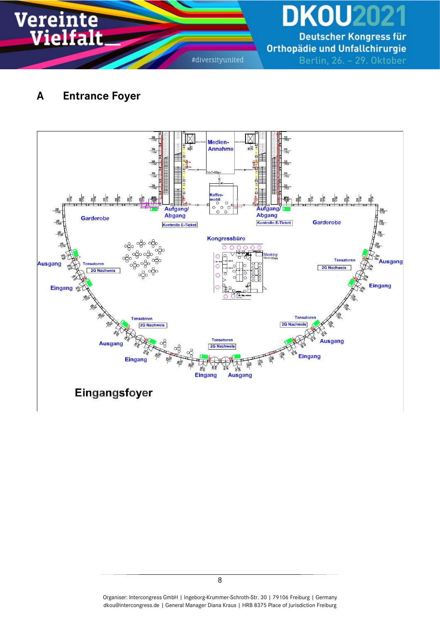Deutscher Kongress für Orthopädie und Unfallchirurgie Berlin, 26. - 29. Oktober

DKOU20

### **A Entrance Foyer**

**Vereinte<br>Vielfalt** 



Organiser: Intercongress GmbH | Ingeborg-Krummer-Schroth-Str. 30 | 79106 Freiburg | Germany [dkou@intercongress.de](mailto:dkou@intercongress.de) | General Manager Diana Kraus | HRB 8375 Place of Jurisdiction Freiburg